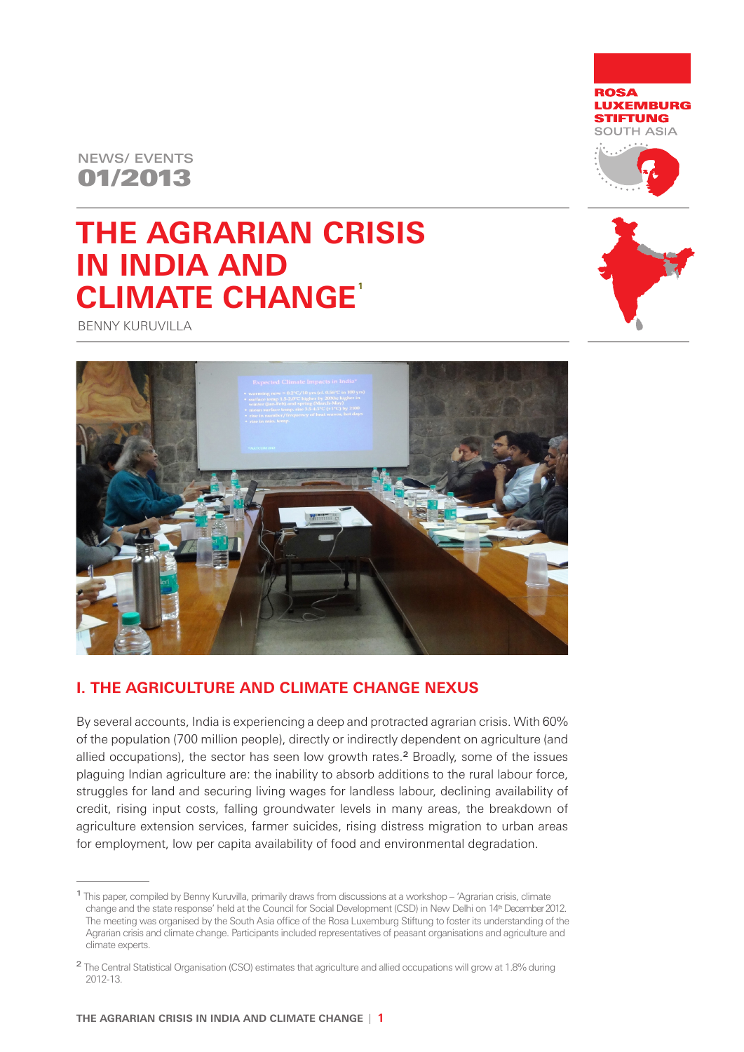



## **THE AGRARIAN CRISIS IN INDIA AND CLIMATE CHANGE 1**



BENNY KURUVILLA



## **I. THE AGRICULTURE AND CLIMATE CHANGE NEXUS**

By several accounts, India is experiencing a deep and protracted agrarian crisis. With 60% of the population (700 million people), directly or indirectly dependent on agriculture (and allied occupations), the sector has seen low growth rates.2 Broadly, some of the issues plaguing Indian agriculture are: the inability to absorb additions to the rural labour force, struggles for land and securing living wages for landless labour, declining availability of credit, rising input costs, falling groundwater levels in many areas, the breakdown of agriculture extension services, farmer suicides, rising distress migration to urban areas for employment, low per capita availability of food and environmental degradation.

<sup>1</sup>This paper, compiled by Benny Kuruvilla, primarily draws from discussions at a workshop – 'Agrarian crisis, climate change and the state response' held at the Council for Social Development (CSD) in New Delhi on 14th December 2012. The meeting was organised by the South Asia office of the Rosa Luxemburg Stiftung to foster its understanding of the Agrarian crisis and climate change. Participants included representatives of peasant organisations and agriculture and climate experts.

<sup>2</sup> The Central Statistical Organisation (CSO) estimates that agriculture and allied occupations will grow at 1.8% during 2012-13.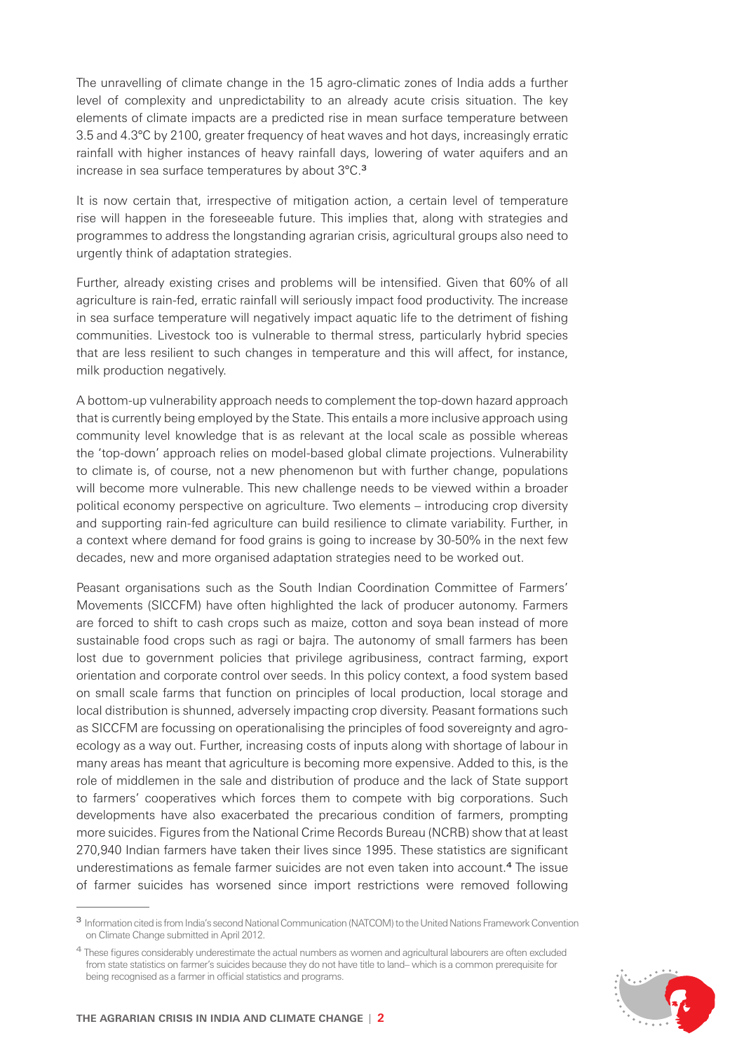The unravelling of climate change in the 15 agro-climatic zones of India adds a further level of complexity and unpredictability to an already acute crisis situation. The key elements of climate impacts are a predicted rise in mean surface temperature between 3.5 and 4.3°C by 2100, greater frequency of heat waves and hot days, increasingly erratic rainfall with higher instances of heavy rainfall days, lowering of water aquifers and an increase in sea surface temperatures by about 3°C.<sup>3</sup>

It is now certain that, irrespective of mitigation action, a certain level of temperature rise will happen in the foreseeable future. This implies that, along with strategies and programmes to address the longstanding agrarian crisis, agricultural groups also need to urgently think of adaptation strategies.

Further, already existing crises and problems will be intensified. Given that 60% of all agriculture is rain-fed, erratic rainfall will seriously impact food productivity. The increase in sea surface temperature will negatively impact aquatic life to the detriment of fishing communities. Livestock too is vulnerable to thermal stress, particularly hybrid species that are less resilient to such changes in temperature and this will affect, for instance, milk production negatively.

A bottom-up vulnerability approach needs to complement the top-down hazard approach that is currently being employed by the State. This entails a more inclusive approach using community level knowledge that is as relevant at the local scale as possible whereas the 'top-down' approach relies on model-based global climate projections. Vulnerability to climate is, of course, not a new phenomenon but with further change, populations will become more vulnerable. This new challenge needs to be viewed within a broader political economy perspective on agriculture. Two elements – introducing crop diversity and supporting rain-fed agriculture can build resilience to climate variability. Further, in a context where demand for food grains is going to increase by 30-50% in the next few decades, new and more organised adaptation strategies need to be worked out.

Peasant organisations such as the South Indian Coordination Committee of Farmers' Movements (SICCFM) have often highlighted the lack of producer autonomy. Farmers are forced to shift to cash crops such as maize, cotton and soya bean instead of more sustainable food crops such as ragi or bajra. The autonomy of small farmers has been lost due to government policies that privilege agribusiness, contract farming, export orientation and corporate control over seeds. In this policy context, a food system based on small scale farms that function on principles of local production, local storage and local distribution is shunned, adversely impacting crop diversity. Peasant formations such as SICCFM are focussing on operationalising the principles of food sovereignty and agroecology as a way out. Further, increasing costs of inputs along with shortage of labour in many areas has meant that agriculture is becoming more expensive. Added to this, is the role of middlemen in the sale and distribution of produce and the lack of State support to farmers' cooperatives which forces them to compete with big corporations. Such developments have also exacerbated the precarious condition of farmers, prompting more suicides. Figures from the National Crime Records Bureau (NCRB) show that at least 270,940 Indian farmers have taken their lives since 1995. These statistics are significant underestimations as female farmer suicides are not even taken into account.4 The issue of farmer suicides has worsened since import restrictions were removed following

<sup>&</sup>lt;sup>4</sup> These figures considerably underestimate the actual numbers as women and agricultural labourers are often excluded from state statistics on farmer's suicides because they do not have title to land– which is a common prerequisite for being recognised as a farmer in official statistics and programs.



<sup>3</sup> Information cited is from India's second National Communication (NATCOM) to the United Nations Framework Convention on Climate Change submitted in April 2012.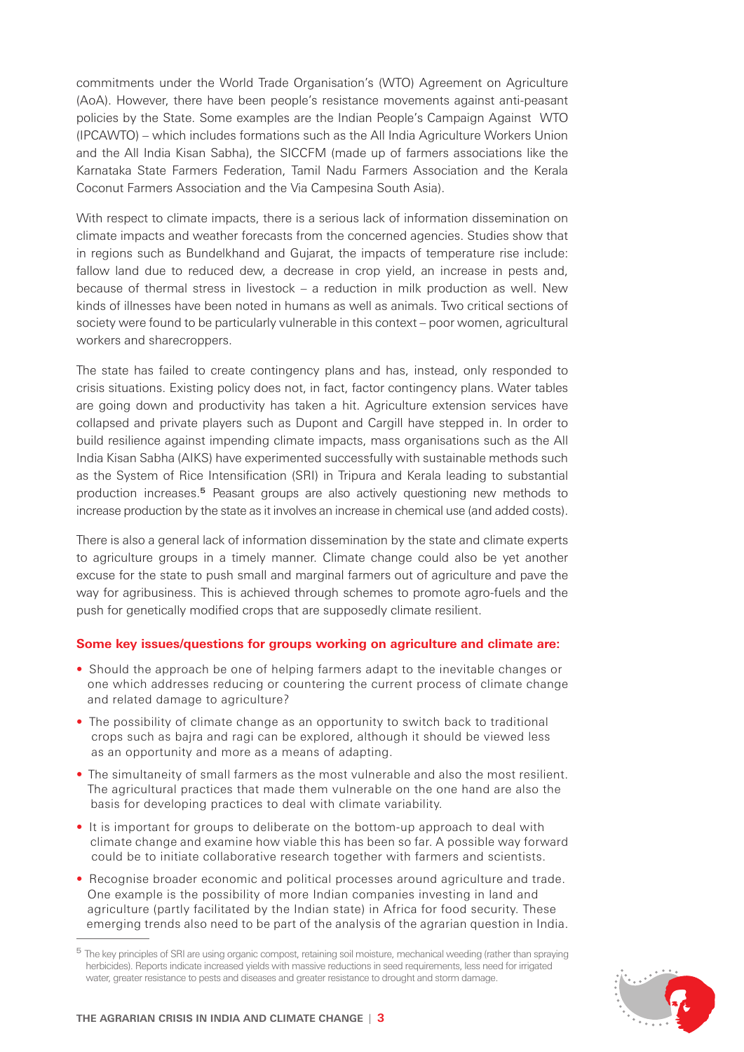commitments under the World Trade Organisation's (WTO) Agreement on Agriculture (AoA). However, there have been people's resistance movements against anti-peasant policies by the State. Some examples are the Indian People's Campaign Against WTO (IPCAWTO) – which includes formations such as the All India Agriculture Workers Union and the All India Kisan Sabha), the SICCFM (made up of farmers associations like the Karnataka State Farmers Federation, Tamil Nadu Farmers Association and the Kerala Coconut Farmers Association and the Via Campesina South Asia).

With respect to climate impacts, there is a serious lack of information dissemination on climate impacts and weather forecasts from the concerned agencies. Studies show that in regions such as Bundelkhand and Gujarat, the impacts of temperature rise include: fallow land due to reduced dew, a decrease in crop yield, an increase in pests and, because of thermal stress in livestock – a reduction in milk production as well. New kinds of illnesses have been noted in humans as well as animals. Two critical sections of society were found to be particularly vulnerable in this context – poor women, agricultural workers and sharecroppers.

The state has failed to create contingency plans and has, instead, only responded to crisis situations. Existing policy does not, in fact, factor contingency plans. Water tables are going down and productivity has taken a hit. Agriculture extension services have collapsed and private players such as Dupont and Cargill have stepped in. In order to build resilience against impending climate impacts, mass organisations such as the All India Kisan Sabha (AIKS) have experimented successfully with sustainable methods such as the System of Rice Intensification (SRI) in Tripura and Kerala leading to substantial production increases.5 Peasant groups are also actively questioning new methods to increase production by the state as it involves an increase in chemical use (and added costs).

There is also a general lack of information dissemination by the state and climate experts to agriculture groups in a timely manner. Climate change could also be yet another excuse for the state to push small and marginal farmers out of agriculture and pave the way for agribusiness. This is achieved through schemes to promote agro-fuels and the push for genetically modified crops that are supposedly climate resilient.

## **Some key issues/questions for groups working on agriculture and climate are:**

- Should the approach be one of helping farmers adapt to the inevitable changes or one which addresses reducing or countering the current process of climate change and related damage to agriculture?
- The possibility of climate change as an opportunity to switch back to traditional crops such as bajra and ragi can be explored, although it should be viewed less as an opportunity and more as a means of adapting.
- The simultaneity of small farmers as the most vulnerable and also the most resilient. The agricultural practices that made them vulnerable on the one hand are also the basis for developing practices to deal with climate variability.
- It is important for groups to deliberate on the bottom-up approach to deal with climate change and examine how viable this has been so far. A possible way forward could be to initiate collaborative research together with farmers and scientists.
- Recognise broader economic and political processes around agriculture and trade. One example is the possibility of more Indian companies investing in land and agriculture (partly facilitated by the Indian state) in Africa for food security. These emerging trends also need to be part of the analysis of the agrarian question in India.

<sup>&</sup>lt;sup>5</sup> The key principles of SRI are using organic compost, retaining soil moisture, mechanical weeding (rather than spraying herbicides). Reports indicate increased yields with massive reductions in seed requirements, less need for irrigated water, greater resistance to pests and diseases and greater resistance to drought and storm damage.

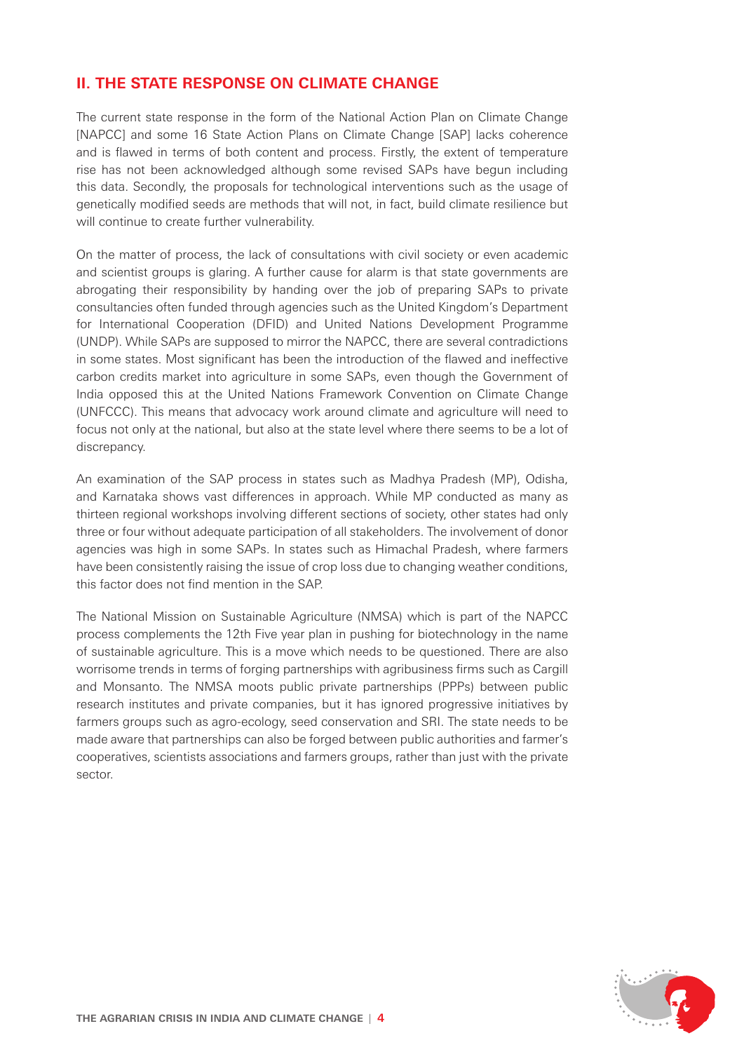## **II. THE STATE RESPONSE ON CLIMATE CHANGE**

The current state response in the form of the National Action Plan on Climate Change [NAPCC] and some 16 State Action Plans on Climate Change [SAP] lacks coherence and is flawed in terms of both content and process. Firstly, the extent of temperature rise has not been acknowledged although some revised SAPs have begun including this data. Secondly, the proposals for technological interventions such as the usage of genetically modified seeds are methods that will not, in fact, build climate resilience but will continue to create further vulnerability.

On the matter of process, the lack of consultations with civil society or even academic and scientist groups is glaring. A further cause for alarm is that state governments are abrogating their responsibility by handing over the job of preparing SAPs to private consultancies often funded through agencies such as the United Kingdom's Department for International Cooperation (DFID) and United Nations Development Programme (UNDP). While SAPs are supposed to mirror the NAPCC, there are several contradictions in some states. Most significant has been the introduction of the flawed and ineffective carbon credits market into agriculture in some SAPs, even though the Government of India opposed this at the United Nations Framework Convention on Climate Change (UNFCCC). This means that advocacy work around climate and agriculture will need to focus not only at the national, but also at the state level where there seems to be a lot of discrepancy.

An examination of the SAP process in states such as Madhya Pradesh (MP), Odisha, and Karnataka shows vast differences in approach. While MP conducted as many as thirteen regional workshops involving different sections of society, other states had only three or four without adequate participation of all stakeholders. The involvement of donor agencies was high in some SAPs. In states such as Himachal Pradesh, where farmers have been consistently raising the issue of crop loss due to changing weather conditions, this factor does not find mention in the SAP.

The National Mission on Sustainable Agriculture (NMSA) which is part of the NAPCC process complements the 12th Five year plan in pushing for biotechnology in the name of sustainable agriculture. This is a move which needs to be questioned. There are also worrisome trends in terms of forging partnerships with agribusiness firms such as Cargill and Monsanto. The NMSA moots public private partnerships (PPPs) between public research institutes and private companies, but it has ignored progressive initiatives by farmers groups such as agro-ecology, seed conservation and SRI. The state needs to be made aware that partnerships can also be forged between public authorities and farmer's cooperatives, scientists associations and farmers groups, rather than just with the private sector.

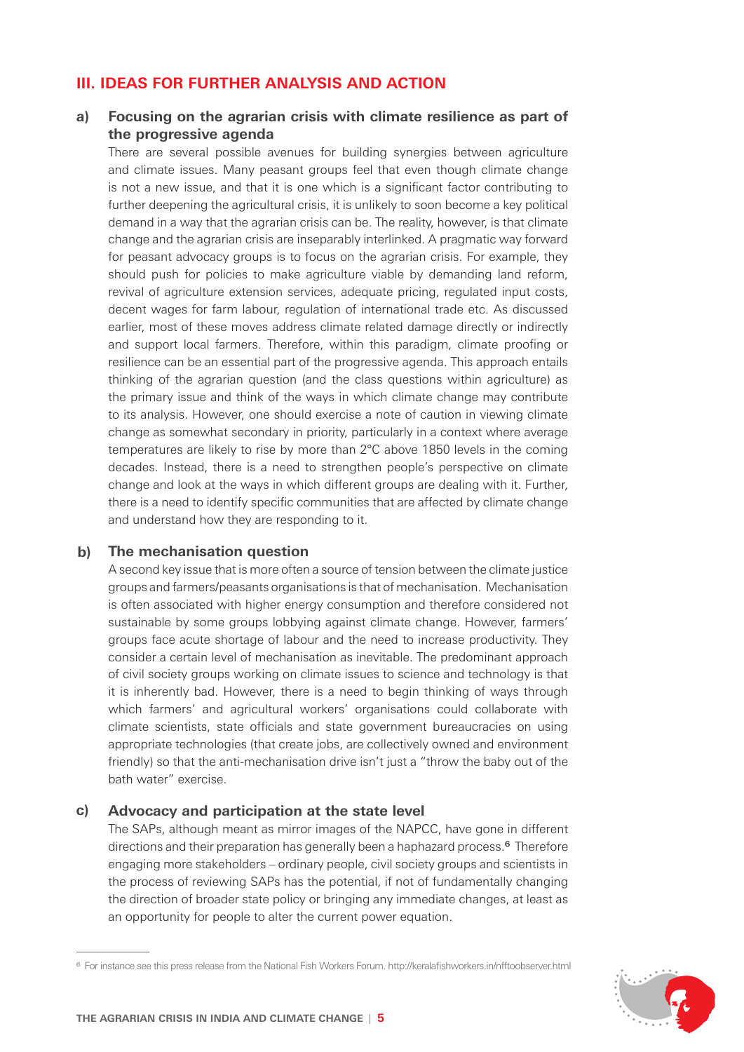## **III. IDEAS FOR FURTHER ANALYSIS AND ACTION**

#### **a) Focusing on the agrarian crisis with climate resilience as part of the progressive agenda**

There are several possible avenues for building synergies between agriculture and climate issues. Many peasant groups feel that even though climate change is not a new issue, and that it is one which is a significant factor contributing to further deepening the agricultural crisis, it is unlikely to soon become a key political demand in a way that the agrarian crisis can be. The reality, however, is that climate change and the agrarian crisis are inseparably interlinked. A pragmatic way forward for peasant advocacy groups is to focus on the agrarian crisis. For example, they should push for policies to make agriculture viable by demanding land reform, revival of agriculture extension services, adequate pricing, regulated input costs, decent wages for farm labour, regulation of international trade etc. As discussed earlier, most of these moves address climate related damage directly or indirectly and support local farmers. Therefore, within this paradigm, climate proofing or resilience can be an essential part of the progressive agenda. This approach entails thinking of the agrarian question (and the class questions within agriculture) as the primary issue and think of the ways in which climate change may contribute to its analysis. However, one should exercise a note of caution in viewing climate change as somewhat secondary in priority, particularly in a context where average temperatures are likely to rise by more than 2°C above 1850 levels in the coming decades. Instead, there is a need to strengthen people's perspective on climate change and look at the ways in which different groups are dealing with it. Further, there is a need to identify specific communities that are affected by climate change and understand how they are responding to it.

#### **b) The mechanisation question**

A second key issue that is more often a source of tension between the climate justice groups and farmers/peasants organisations is that of mechanisation. Mechanisation is often associated with higher energy consumption and therefore considered not sustainable by some groups lobbying against climate change. However, farmers' groups face acute shortage of labour and the need to increase productivity. They consider a certain level of mechanisation as inevitable. The predominant approach of civil society groups working on climate issues to science and technology is that it is inherently bad. However, there is a need to begin thinking of ways through which farmers' and agricultural workers' organisations could collaborate with climate scientists, state officials and state government bureaucracies on using appropriate technologies (that create jobs, are collectively owned and environment friendly) so that the anti-mechanisation drive isn't just a "throw the baby out of the bath water" exercise.

#### **Advocacy and participation at the state level c)**

The SAPs, although meant as mirror images of the NAPCC, have gone in different directions and their preparation has generally been a haphazard process.6 Therefore engaging more stakeholders – ordinary people, civil society groups and scientists in the process of reviewing SAPs has the potential, if not of fundamentally changing the direction of broader state policy or bringing any immediate changes, at least as an opportunity for people to alter the current power equation.

<sup>&</sup>lt;sup>6</sup> For instance see this press release from the National Fish Workers Forum. http://keralafishworkers.in/nfftoobserver.html

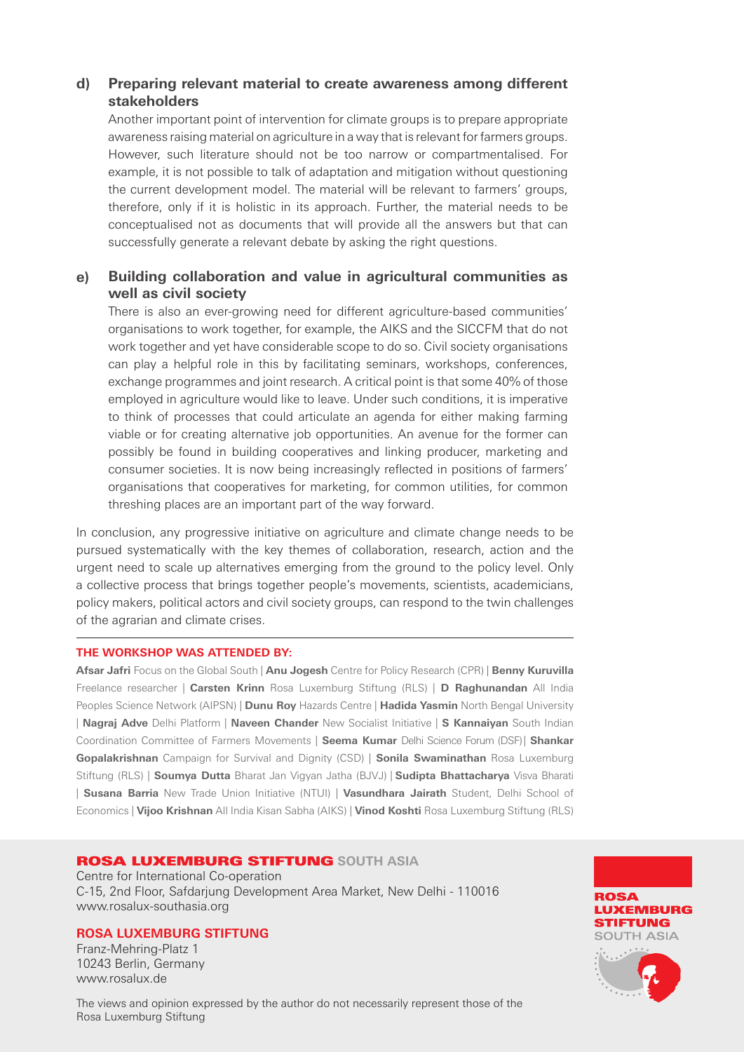#### **Preparing relevant material to create awareness among different stakeholders d)**

Another important point of intervention for climate groups is to prepare appropriate awareness raising material on agriculture in a way that is relevant for farmers groups. However, such literature should not be too narrow or compartmentalised. For example, it is not possible to talk of adaptation and mitigation without questioning the current development model. The material will be relevant to farmers' groups, therefore, only if it is holistic in its approach. Further, the material needs to be conceptualised not as documents that will provide all the answers but that can successfully generate a relevant debate by asking the right questions.

#### **Building collaboration and value in agricultural communities as well as civil society e)**

There is also an ever-growing need for different agriculture-based communities' organisations to work together, for example, the AIKS and the SICCFM that do not work together and yet have considerable scope to do so. Civil society organisations can play a helpful role in this by facilitating seminars, workshops, conferences, exchange programmes and joint research. A critical point is that some 40% of those employed in agriculture would like to leave. Under such conditions, it is imperative to think of processes that could articulate an agenda for either making farming viable or for creating alternative job opportunities. An avenue for the former can possibly be found in building cooperatives and linking producer, marketing and consumer societies. It is now being increasingly reflected in positions of farmers' organisations that cooperatives for marketing, for common utilities, for common threshing places are an important part of the way forward.

In conclusion, any progressive initiative on agriculture and climate change needs to be pursued systematically with the key themes of collaboration, research, action and the urgent need to scale up alternatives emerging from the ground to the policy level. Only a collective process that brings together people's movements, scientists, academicians, policy makers, political actors and civil society groups, can respond to the twin challenges of the agrarian and climate crises.

## **THE WORKSHOP WAS ATTENDED BY:**

**Afsar Jafri** Focus on the Global South | **Anu Jogesh** Centre for Policy Research (CPR) | **Benny Kuruvilla** Freelance researcher | **Carsten Krinn** Rosa Luxemburg Stiftung (RLS) | **D Raghunandan** All India Peoples Science Network (AIPSN) | **Dunu Roy** Hazards Centre | **Hadida Yasmin** North Bengal University | **Nagraj Adve** Delhi Platform | **Naveen Chander** New Socialist Initiative | **S Kannaiyan** South Indian Coordination Committee of Farmers Movements | **Seema Kumar** Delhi Science Forum (DSF)| **Shankar Gopalakrishnan** Campaign for Survival and Dignity (CSD) | **Sonila Swaminathan** Rosa Luxemburg Stiftung (RLS) | **Soumya Dutta** Bharat Jan Vigyan Jatha (BJVJ) | **Sudipta Bhattacharya** Visva Bharati | **Susana Barria** New Trade Union Initiative (NTUI) | **Vasundhara Jairath** Student, Delhi School of Economics | **Vijoo Krishnan** All India Kisan Sabha (AIKS) | **Vinod Koshti** Rosa Luxemburg Stiftung (RLS)

## ROSA LUXEMBURG STIFTUNG **SOUTH ASIA**

Centre for International Co-operation C-15, 2nd Floor, Safdarjung Development Area Market, New Delhi - 110016 www.rosalux-southasia.org

## **ROSA LUXEMBURG STIFTUNG**

Franz-Mehring-Platz 1 10243 Berlin, Germany www.rosalux.de

The views and opinion expressed by the author do not necessarily represent those of the Rosa Luxemburg Stiftung